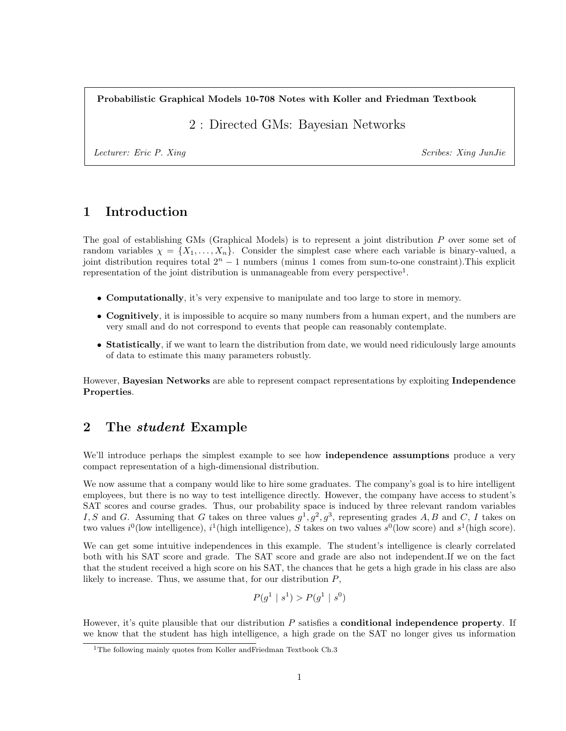Probabilistic Graphical Models 10-708 Notes with Koller and Friedman Textbook

2 : Directed GMs: Bayesian Networks

Lecturer: Eric P. Xing Scribes: Xing JunJie

# 1 Introduction

The goal of establishing GMs (Graphical Models) is to represent a joint distribution P over some set of random variables  $\chi = \{X_1, \ldots, X_n\}$ . Consider the simplest case where each variable is binary-valued, a joint distribution requires total  $2<sup>n</sup> - 1$  numbers (minus 1 comes from sum-to-one constraint). This explicit representation of the joint distribution is unmanageable from every perspective<sup>1</sup>.

- Computationally, it's very expensive to manipulate and too large to store in memory.
- Cognitively, it is impossible to acquire so many numbers from a human expert, and the numbers are very small and do not correspond to events that people can reasonably contemplate.
- Statistically, if we want to learn the distribution from date, we would need ridiculously large amounts of data to estimate this many parameters robustly.

However, Bayesian Networks are able to represent compact representations by exploiting Independence Properties.

# 2 The *student* Example

We'll introduce perhaps the simplest example to see how **independence assumptions** produce a very compact representation of a high-dimensional distribution.

We now assume that a company would like to hire some graduates. The company's goal is to hire intelligent employees, but there is no way to test intelligence directly. However, the company have access to student's SAT scores and course grades. Thus, our probability space is induced by three relevant random variables I, S and G. Assuming that G takes on three values  $g^1, g^2, g^3$ , representing grades A, B and C, I takes on two values  $i^0$ (low intelligence),  $i^1$ (high intelligence), S takes on two values  $s^0$ (low score) and  $s^1$ (high score).

We can get some intuitive independences in this example. The student's intelligence is clearly correlated both with his SAT score and grade. The SAT score and grade are also not independent.If we on the fact that the student received a high score on his SAT, the chances that he gets a high grade in his class are also likely to increase. Thus, we assume that, for our distribution  $P$ ,

$$
P(g^1 \mid s^1) > P(g^1 \mid s^0)
$$

However, it's quite plausible that our distribution  $P$  satisfies a **conditional independence property**. If we know that the student has high intelligence, a high grade on the SAT no longer gives us information

<sup>&</sup>lt;sup>1</sup>The following mainly quotes from Koller andFriedman Textbook Ch.3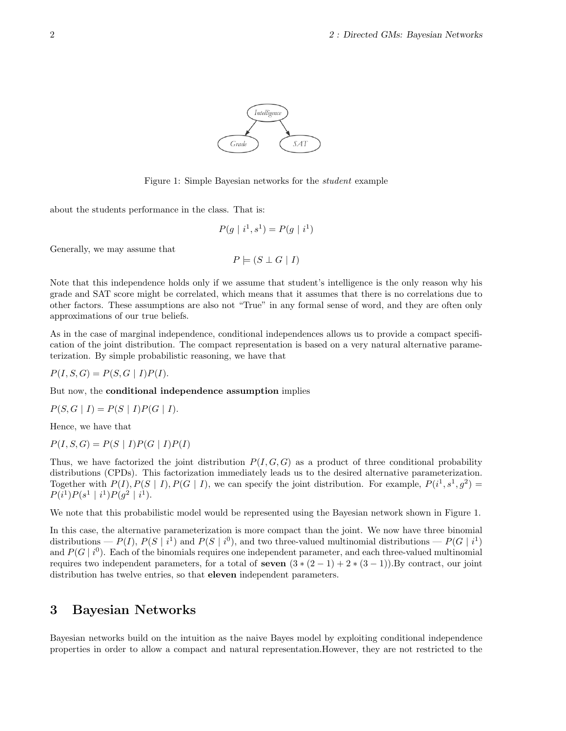

Figure 1: Simple Bayesian networks for the student example

about the students performance in the class. That is:

$$
P(g \mid i^1, s^1) = P(g \mid i^1)
$$

Generally, we may assume that

$$
P \models (S \perp G \mid I)
$$

Note that this independence holds only if we assume that student's intelligence is the only reason why his grade and SAT score might be correlated, which means that it assumes that there is no correlations due to other factors. These assumptions are also not "True" in any formal sense of word, and they are often only approximations of our true beliefs.

As in the case of marginal independence, conditional independences allows us to provide a compact specification of the joint distribution. The compact representation is based on a very natural alternative parameterization. By simple probabilistic reasoning, we have that

$$
P(I, S, G) = P(S, G | I)P(I).
$$

But now, the conditional independence assumption implies

$$
P(S, G | I) = P(S | I)P(G | I).
$$

Hence, we have that

 $P(I, S, G) = P(S | I)P(G | I)P(I)$ 

Thus, we have factorized the joint distribution  $P(I, G, G)$  as a product of three conditional probability distributions (CPDs). This factorization immediately leads us to the desired alternative parameterization. Together with  $P(I), P(S | I), P(G | I)$ , we can specify the joint distribution. For example,  $P(i^1, s^1, g^2)$  $P(i^1)P(s^1 | i^1)P(g^2 | i^1).$ 

We note that this probabilistic model would be represented using the Bayesian network shown in Figure 1.

In this case, the alternative parameterization is more compact than the joint. We now have three binomial distributions  $-P(I)$ ,  $P(S | i^1)$  and  $P(S | i^0)$ , and two three-valued multinomial distributions  $-P(G | i^1)$ and  $P(G | i<sup>0</sup>)$ . Each of the binomials requires one independent parameter, and each three-valued multinomial requires two independent parameters, for a total of seven  $(3 \times (2 - 1) + 2 \times (3 - 1))$ . By contract, our joint distribution has twelve entries, so that eleven independent parameters.

# 3 Bayesian Networks

Bayesian networks build on the intuition as the naive Bayes model by exploiting conditional independence properties in order to allow a compact and natural representation.However, they are not restricted to the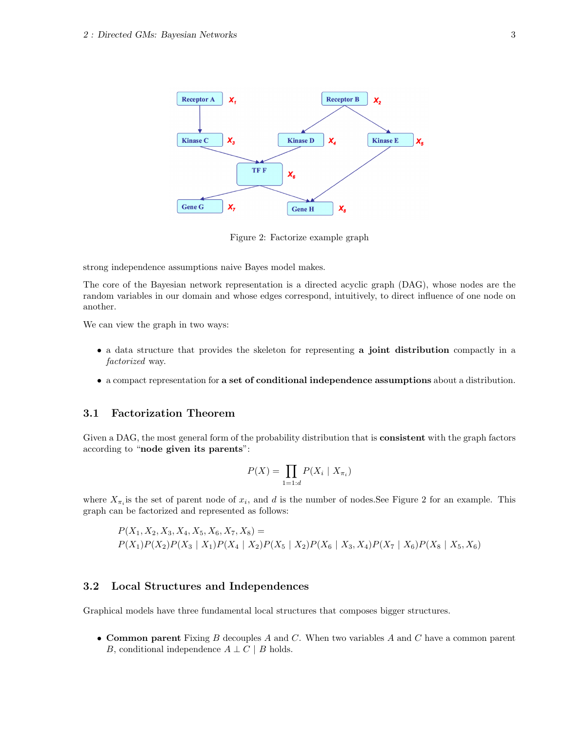

Figure 2: Factorize example graph

strong independence assumptions naive Bayes model makes.

The core of the Bayesian network representation is a directed acyclic graph (DAG), whose nodes are the random variables in our domain and whose edges correspond, intuitively, to direct influence of one node on another.

We can view the graph in two ways:

- a data structure that provides the skeleton for representing a joint distribution compactly in a factorized way.
- a compact representation for a set of conditional independence assumptions about a distribution.

### 3.1 Factorization Theorem

Given a DAG, the most general form of the probability distribution that is **consistent** with the graph factors according to "node given its parents":

$$
P(X) = \prod_{1=1:d} P(X_i \mid X_{\pi_i})
$$

where  $X_{\pi_i}$  is the set of parent node of  $x_i$ , and d is the number of nodes. See Figure 2 for an example. This graph can be factorized and represented as follows:

 $P(X_1, X_2, X_3, X_4, X_5, X_6, X_7, X_8) =$  $P(X_1)P(X_2)P(X_3 | X_1)P(X_4 | X_2)P(X_5 | X_2)P(X_6 | X_3, X_4)P(X_7 | X_6)P(X_8 | X_5, X_6)$ 

### 3.2 Local Structures and Independences

Graphical models have three fundamental local structures that composes bigger structures.

• Common parent Fixing  $B$  decouples  $A$  and  $C$ . When two variables  $A$  and  $C$  have a common parent B, conditional independence  $A \perp C \mid B$  holds.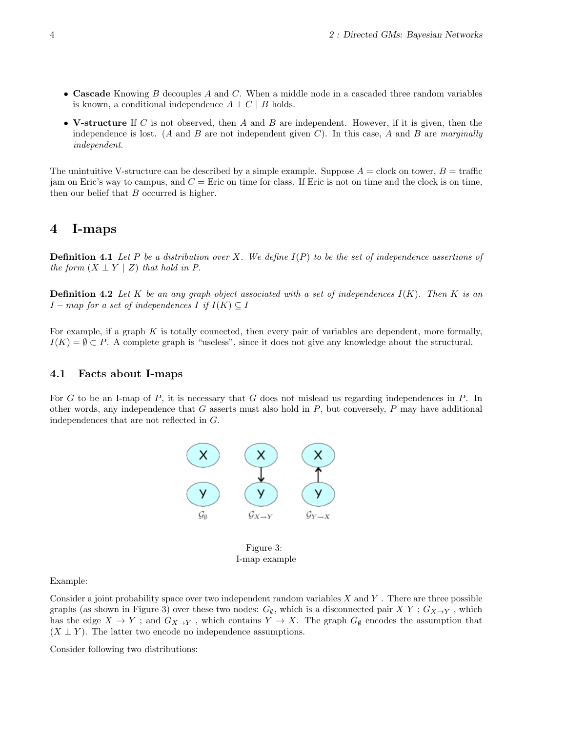- Cascade Knowing  $B$  decouples  $A$  and  $C$ . When a middle node in a cascaded three random variables is known, a conditional independence  $A \perp C \mid B$  holds.
- V-structure If C is not observed, then A and B are independent. However, if it is given, then the independence is lost. (A and B are not independent given C). In this case, A and B are marginally independent.

The unintuitive V-structure can be described by a simple example. Suppose  $A = \text{clock}$  on tower,  $B = \text{traffic}$ jam on Eric's way to campus, and  $C =$  Eric on time for class. If Eric is not on time and the clock is on time, then our belief that  $B$  occurred is higher.

### 4 I-maps

**Definition 4.1** Let P be a distribution over X. We define  $I(P)$  to be the set of independence assertions of the form  $(X \perp Y \mid Z)$  that hold in P.

**Definition 4.2** Let K be an any graph object associated with a set of independences  $I(K)$ . Then K is an  $I - map$  for a set of independences I if  $I(K) \subseteq I$ 

For example, if a graph  $K$  is totally connected, then every pair of variables are dependent, more formally,  $I(K) = \emptyset \subset P$ . A complete graph is "useless", since it does not give any knowledge about the structural.

#### 4.1 Facts about I-maps

For G to be an I-map of P, it is necessary that G does not mislead us regarding independences in P. In other words, any independence that  $G$  asserts must also hold in  $P$ , but conversely,  $P$  may have additional independences that are not reflected in G.



Figure 3: I-map example

Example:

Consider a joint probability space over two independent random variables  $X$  and  $Y$ . There are three possible graphs (as shown in Figure 3) over these two nodes:  $G_{\emptyset}$ , which is a disconnected pair X Y;  $G_{X\to Y}$ , which has the edge  $X \to Y$ ; and  $G_{X\to Y}$ , which contains  $Y \to X$ . The graph  $G_{\emptyset}$  encodes the assumption that  $(X \perp Y)$ . The latter two encode no independence assumptions.

Consider following two distributions: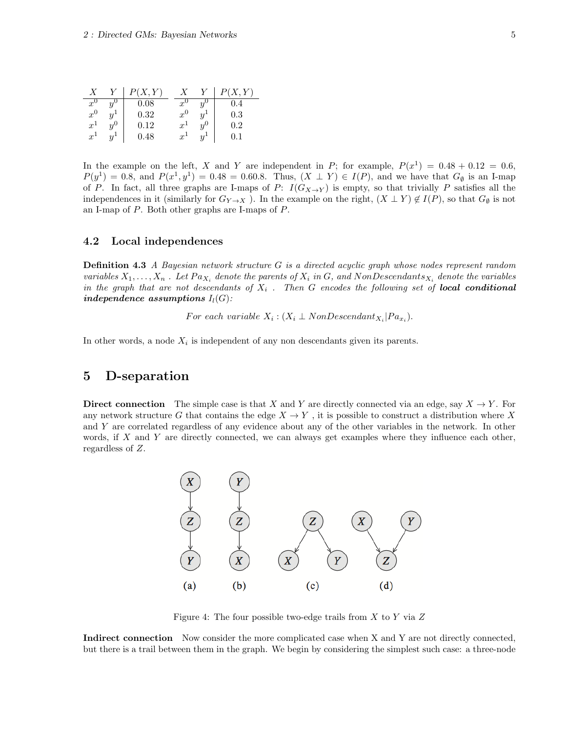|                  |                           | (X, Y)     |                  |                  |           |
|------------------|---------------------------|------------|------------------|------------------|-----------|
| $x^0$            | $\boldsymbol{u}$          | 0.08       | $\boldsymbol{x}$ | $\overline{u}$   | .4        |
| $x^0$            | $\boldsymbol{\mathit{u}}$ | $\rm 0.32$ | $x^0$            | Y                | $\rm 0.3$ |
| $\boldsymbol{x}$ | $y^0$                     | $\rm 0.12$ | $\boldsymbol{x}$ | $y^{\mathsf{U}}$ | 0.2       |
| $\boldsymbol{x}$ | $\overline{u}$            | $\rm 0.48$ | $\boldsymbol{x}$ | $\boldsymbol{y}$ |           |

In the example on the left, X and Y are independent in P; for example,  $P(x^1) = 0.48 + 0.12 = 0.6$ ,  $P(y^{1}) = 0.8$ , and  $P(x^{1}, y^{1}) = 0.48 = 0.60.8$ . Thus,  $(X \perp Y) \in I(P)$ , and we have that  $G_{\emptyset}$  is an I-map of P. In fact, all three graphs are I-maps of P:  $I(G_{X\to Y})$  is empty, so that trivially P satisfies all the independences in it (similarly for  $G_{Y\to X}$ ). In the example on the right,  $(X \perp Y) \notin I(P)$ , so that  $G_{\emptyset}$  is not an I-map of P. Both other graphs are I-maps of P.

#### 4.2 Local independences

**Definition 4.3** A Bayesian network structure  $G$  is a directed acyclic graph whose nodes represent random variables  $X_1, \ldots, X_n$ . Let  $Pa_{X_i}$  denote the parents of  $X_i$  in G, and NonDescendants<sub> $X_i$ </sub> denote the variables in the graph that are not descendants of  $X_i$ . Then G encodes the following set of **local conditional** independence assumptions  $I_l(G)$ :

For each variable  $X_i$ :  $(X_i \perp \text{NonDescendant}_{X_i} | Pa_{x_i}).$ 

In other words, a node  $X_i$  is independent of any non descendants given its parents.

### 5 D-separation

**Direct connection** The simple case is that X and Y are directly connected via an edge, say  $X \to Y$ . For any network structure G that contains the edge  $X \to Y$ , it is possible to construct a distribution where X and Y are correlated regardless of any evidence about any of the other variables in the network. In other words, if  $X$  and  $Y$  are directly connected, we can always get examples where they influence each other, regardless of Z.



Figure 4: The four possible two-edge trails from  $X$  to  $Y$  via  $Z$ 

Indirect connection Now consider the more complicated case when X and Y are not directly connected, but there is a trail between them in the graph. We begin by considering the simplest such case: a three-node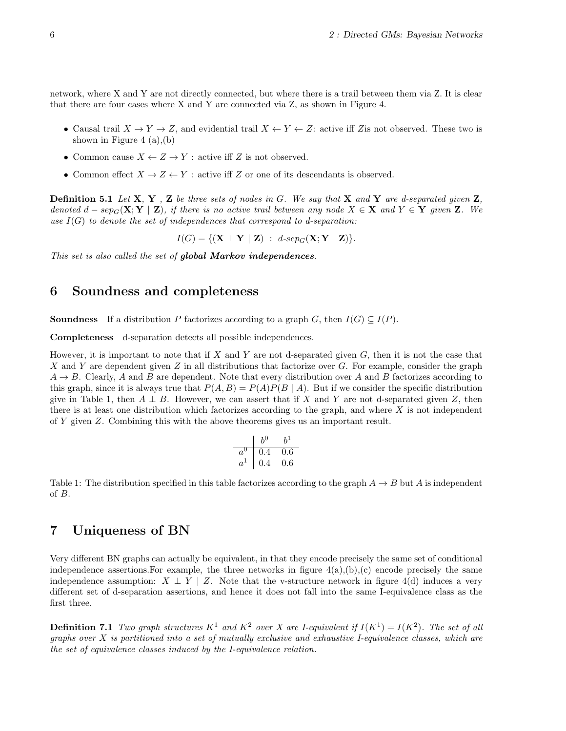network, where X and Y are not directly connected, but where there is a trail between them via Z. It is clear that there are four cases where X and Y are connected via Z, as shown in Figure 4.

- Causal trail  $X \to Y \to Z$ , and evidential trail  $X \leftarrow Y \leftarrow Z$ : active iff Zis not observed. These two is shown in Figure 4  $(a)$ , $(b)$
- Common cause  $X \leftarrow Z \rightarrow Y$ : active iff Z is not observed.
- Common effect  $X \to Z \leftarrow Y$ : active iff Z or one of its descendants is observed.

**Definition 5.1** Let  $X, Y, Z$  be three sets of nodes in G. We say that  $X$  and  $Y$  are d-separated given  $Z$ , denoted  $d - sep_G(\mathbf{X}; \mathbf{Y} \mid \mathbf{Z})$ , if there is no active trail between any node  $X \in \mathbf{X}$  and  $Y \in \mathbf{Y}$  given  $\mathbf{Z}$ . We use  $I(G)$  to denote the set of independences that correspond to d-separation:

 $I(G) = \{ (\mathbf{X} \perp \mathbf{Y} \mid \mathbf{Z}) : d\text{-}sep_G(\mathbf{X}; \mathbf{Y} \mid \mathbf{Z}) \}.$ 

This set is also called the set of **global Markov independences**.

### 6 Soundness and completeness

**Soundness** If a distribution P factorizes according to a graph G, then  $I(G) \subseteq I(P)$ .

Completeness d-separation detects all possible independences.

However, it is important to note that if  $X$  and  $Y$  are not d-separated given  $G$ , then it is not the case that X and Y are dependent given Z in all distributions that factorize over G. For example, consider the graph  $A \rightarrow B$ . Clearly, A and B are dependent. Note that every distribution over A and B factorizes according to this graph, since it is always true that  $P(A, B) = P(A)P(B \mid A)$ . But if we consider the specific distribution give in Table 1, then  $A \perp B$ . However, we can assert that if X and Y are not d-separated given Z, then there is at least one distribution which factorizes according to the graph, and where  $X$  is not independent of Y given Z. Combining this with the above theorems gives us an important result.

$$
\begin{array}{c|cc}\n & b^0 & b^1 \\
\hline\na^0 & 0.4 & 0.6 \\
a^1 & 0.4 & 0.6\n\end{array}
$$

Table 1: The distribution specified in this table factorizes according to the graph  $A \to B$  but A is independent of B.

### 7 Uniqueness of BN

Very different BN graphs can actually be equivalent, in that they encode precisely the same set of conditional independence assertions. For example, the three networks in figure  $4(a)$ , $(b)$ , $(c)$  encode precisely the same independence assumption:  $X \perp Y \mid Z$ . Note that the v-structure network in figure 4(d) induces a very different set of d-separation assertions, and hence it does not fall into the same I-equivalence class as the first three.

**Definition 7.1** Two graph structures  $K^1$  and  $K^2$  over X are I-equivalent if  $I(K^1) = I(K^2)$ . The set of all graphs over  $X$  is partitioned into a set of mutually exclusive and exhaustive I-equivalence classes, which are the set of equivalence classes induced by the I-equivalence relation.